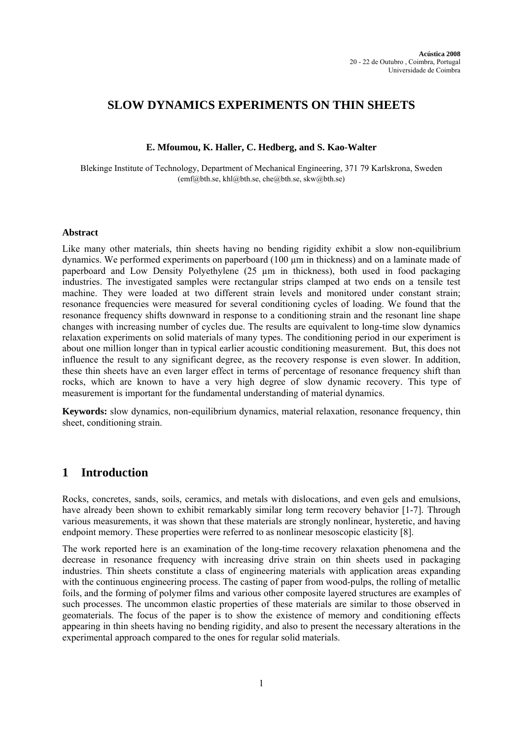# **SLOW DYNAMICS EXPERIMENTS ON THIN SHEETS**

## **E. Mfoumou, K. Haller, C. Hedberg, and S. Kao-Walter**

Blekinge Institute of Technology, Department of Mechanical Engineering, 371 79 Karlskrona, Sweden  $(emf@bth.se, khl@bth.se, che@bth.se, skw@bth.se)$ 

### **Abstract**

Like many other materials, thin sheets having no bending rigidity exhibit a slow non-equilibrium dynamics. We performed experiments on paperboard  $(100 \mu m)$  in thickness) and on a laminate made of paperboard and Low Density Polyethylene (25 µm in thickness), both used in food packaging industries. The investigated samples were rectangular strips clamped at two ends on a tensile test machine. They were loaded at two different strain levels and monitored under constant strain; resonance frequencies were measured for several conditioning cycles of loading. We found that the resonance frequency shifts downward in response to a conditioning strain and the resonant line shape changes with increasing number of cycles due. The results are equivalent to long-time slow dynamics relaxation experiments on solid materials of many types. The conditioning period in our experiment is about one million longer than in typical earlier acoustic conditioning measurement. But, this does not influence the result to any significant degree, as the recovery response is even slower. In addition, these thin sheets have an even larger effect in terms of percentage of resonance frequency shift than rocks, which are known to have a very high degree of slow dynamic recovery. This type of measurement is important for the fundamental understanding of material dynamics.

**Keywords:** slow dynamics, non-equilibrium dynamics, material relaxation, resonance frequency, thin sheet, conditioning strain.

## **1 Introduction**

Rocks, concretes, sands, soils, ceramics, and metals with dislocations, and even gels and emulsions, have already been shown to exhibit remarkably similar long term recovery behavior [1-7]. Through various measurements, it was shown that these materials are strongly nonlinear, hysteretic, and having endpoint memory. These properties were referred to as nonlinear mesoscopic elasticity [8].

The work reported here is an examination of the long-time recovery relaxation phenomena and the decrease in resonance frequency with increasing drive strain on thin sheets used in packaging industries. Thin sheets constitute a class of engineering materials with application areas expanding with the continuous engineering process. The casting of paper from wood-pulps, the rolling of metallic foils, and the forming of polymer films and various other composite layered structures are examples of such processes. The uncommon elastic properties of these materials are similar to those observed in geomaterials. The focus of the paper is to show the existence of memory and conditioning effects appearing in thin sheets having no bending rigidity, and also to present the necessary alterations in the experimental approach compared to the ones for regular solid materials.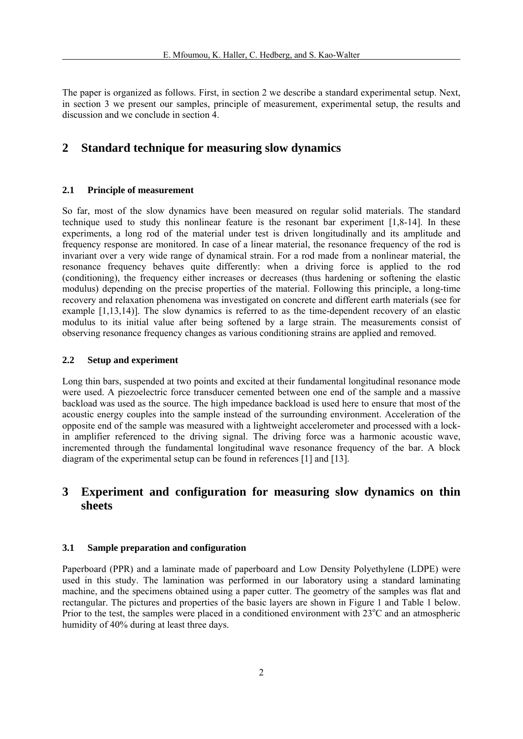The paper is organized as follows. First, in section 2 we describe a standard experimental setup. Next, in section 3 we present our samples, principle of measurement, experimental setup, the results and discussion and we conclude in section 4.

## **2 Standard technique for measuring slow dynamics**

#### **2.1 Principle of measurement**

So far, most of the slow dynamics have been measured on regular solid materials. The standard technique used to study this nonlinear feature is the resonant bar experiment [1,8-14]. In these experiments, a long rod of the material under test is driven longitudinally and its amplitude and frequency response are monitored. In case of a linear material, the resonance frequency of the rod is invariant over a very wide range of dynamical strain. For a rod made from a nonlinear material, the resonance frequency behaves quite differently: when a driving force is applied to the rod (conditioning), the frequency either increases or decreases (thus hardening or softening the elastic modulus) depending on the precise properties of the material. Following this principle, a long-time recovery and relaxation phenomena was investigated on concrete and different earth materials (see for example [1,13,14)]. The slow dynamics is referred to as the time-dependent recovery of an elastic modulus to its initial value after being softened by a large strain. The measurements consist of observing resonance frequency changes as various conditioning strains are applied and removed.

### **2.2 Setup and experiment**

Long thin bars, suspended at two points and excited at their fundamental longitudinal resonance mode were used. A piezoelectric force transducer cemented between one end of the sample and a massive backload was used as the source. The high impedance backload is used here to ensure that most of the acoustic energy couples into the sample instead of the surrounding environment. Acceleration of the opposite end of the sample was measured with a lightweight accelerometer and processed with a lockin amplifier referenced to the driving signal. The driving force was a harmonic acoustic wave, incremented through the fundamental longitudinal wave resonance frequency of the bar. A block diagram of the experimental setup can be found in references [1] and [13].

# **3 Experiment and configuration for measuring slow dynamics on thin sheets**

#### **3.1 Sample preparation and configuration**

Paperboard (PPR) and a laminate made of paperboard and Low Density Polyethylene (LDPE) were used in this study. The lamination was performed in our laboratory using a standard laminating machine, and the specimens obtained using a paper cutter. The geometry of the samples was flat and rectangular. The pictures and properties of the basic layers are shown in Figure 1 and Table 1 below. Prior to the test, the samples were placed in a conditioned environment with 23°C and an atmospheric humidity of 40% during at least three days.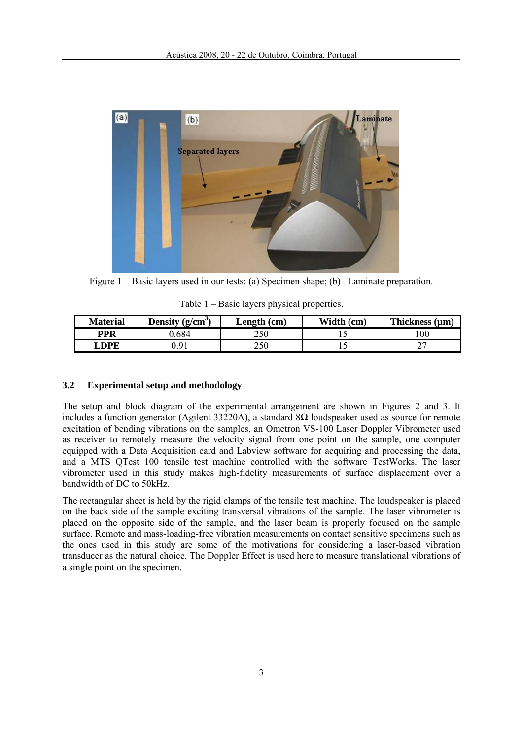

Figure 1 – Basic layers used in our tests: (a) Specimen shape; (b) Laminate preparation.

| <b>Material</b> | Density $(g/cm^3)$ | Length (cm) | Width (cm) | Thickness $(\mu m)$ |
|-----------------|--------------------|-------------|------------|---------------------|
| <b>PPR</b>      | 684                | 250         |            | 00                  |
| <b>DPE</b>      | Q <sub>1</sub>     | 250         | ' ~        |                     |

# Table 1 – Basic layers physical properties.

## **3.2 Experimental setup and methodology**

The setup and block diagram of the experimental arrangement are shown in Figures 2 and 3. It includes a function generator (Agilent 33220A), a standard 8Ω loudspeaker used as source for remote excitation of bending vibrations on the samples, an Ometron VS-100 Laser Doppler Vibrometer used as receiver to remotely measure the velocity signal from one point on the sample, one computer equipped with a Data Acquisition card and Labview software for acquiring and processing the data, and a MTS QTest 100 tensile test machine controlled with the software TestWorks. The laser vibrometer used in this study makes high-fidelity measurements of surface displacement over a bandwidth of DC to 50kHz.

The rectangular sheet is held by the rigid clamps of the tensile test machine. The loudspeaker is placed on the back side of the sample exciting transversal vibrations of the sample. The laser vibrometer is placed on the opposite side of the sample, and the laser beam is properly focused on the sample surface. Remote and mass-loading-free vibration measurements on contact sensitive specimens such as the ones used in this study are some of the motivations for considering a laser-based vibration transducer as the natural choice. The Doppler Effect is used here to measure translational vibrations of a single point on the specimen.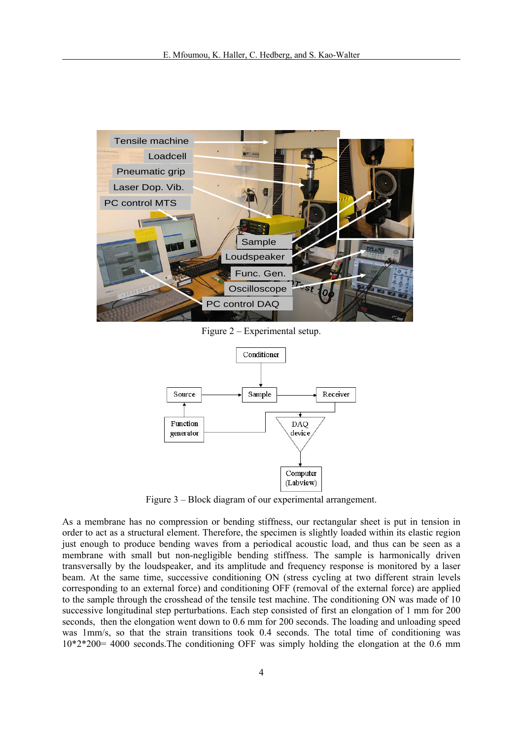

Figure 2 – Experimental setup.



Figure 3 – Block diagram of our experimental arrangement.

As a membrane has no compression or bending stiffness, our rectangular sheet is put in tension in order to act as a structural element. Therefore, the specimen is slightly loaded within its elastic region just enough to produce bending waves from a periodical acoustic load, and thus can be seen as a membrane with small but non-negligible bending stiffness. The sample is harmonically driven transversally by the loudspeaker, and its amplitude and frequency response is monitored by a laser beam. At the same time, successive conditioning ON (stress cycling at two different strain levels corresponding to an external force) and conditioning OFF (removal of the external force) are applied to the sample through the crosshead of the tensile test machine. The conditioning ON was made of 10 successive longitudinal step perturbations. Each step consisted of first an elongation of 1 mm for 200 seconds, then the elongation went down to 0.6 mm for 200 seconds. The loading and unloading speed was 1mm/s, so that the strain transitions took 0.4 seconds. The total time of conditioning was 10\*2\*200= 4000 seconds.The conditioning OFF was simply holding the elongation at the 0.6 mm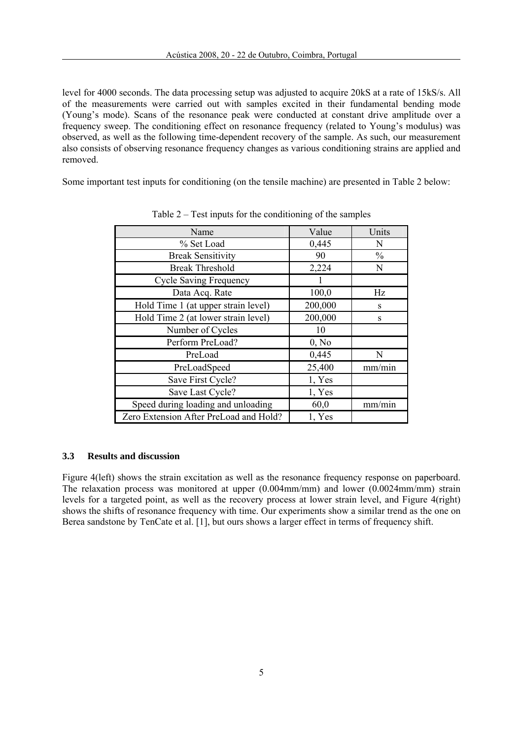level for 4000 seconds. The data processing setup was adjusted to acquire 20kS at a rate of 15kS/s. All of the measurements were carried out with samples excited in their fundamental bending mode (Young's mode). Scans of the resonance peak were conducted at constant drive amplitude over a frequency sweep. The conditioning effect on resonance frequency (related to Young's modulus) was observed, as well as the following time-dependent recovery of the sample. As such, our measurement also consists of observing resonance frequency changes as various conditioning strains are applied and removed.

Some important test inputs for conditioning (on the tensile machine) are presented in Table 2 below:

| Name                                   | Value   | Units         |
|----------------------------------------|---------|---------------|
| % Set Load                             | 0,445   | N             |
| <b>Break Sensitivity</b>               | 90      | $\frac{0}{0}$ |
| <b>Break Threshold</b>                 | 2,224   | N             |
| <b>Cycle Saving Frequency</b>          |         |               |
| Data Acq. Rate                         | 100,0   | Hz            |
| Hold Time 1 (at upper strain level)    | 200,000 | S             |
| Hold Time 2 (at lower strain level)    | 200,000 | S             |
| Number of Cycles                       | 10      |               |
| Perform PreLoad?                       | 0, No   |               |
| PreLoad                                | 0,445   | N             |
| PreLoadSpeed                           | 25,400  | mm/min        |
| Save First Cycle?                      | 1, Yes  |               |
| Save Last Cycle?                       | 1, Yes  |               |
| Speed during loading and unloading     | 60,0    | mm/min        |
| Zero Extension After PreLoad and Hold? | 1, Yes  |               |

Table 2 – Test inputs for the conditioning of the samples

## **3.3 Results and discussion**

Figure 4(left) shows the strain excitation as well as the resonance frequency response on paperboard. The relaxation process was monitored at upper (0.004mm/mm) and lower (0.0024mm/mm) strain levels for a targeted point, as well as the recovery process at lower strain level, and Figure 4(right) shows the shifts of resonance frequency with time. Our experiments show a similar trend as the one on Berea sandstone by TenCate et al. [1], but ours shows a larger effect in terms of frequency shift.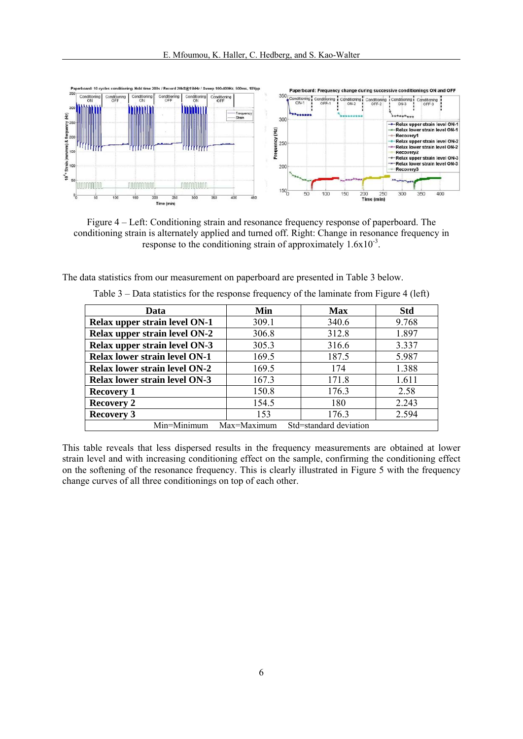

Figure 4 – Left: Conditioning strain and resonance frequency response of paperboard. The conditioning strain is alternately applied and turned off. Right: Change in resonance frequency in response to the conditioning strain of approximately  $1.6x10^{-3}$ .

The data statistics from our measurement on paperboard are presented in Table 3 below.

| Data                                 | Min         | <b>Max</b>             | <b>Std</b> |
|--------------------------------------|-------------|------------------------|------------|
| Relax upper strain level ON-1        | 309.1       | 340.6                  | 9.768      |
| Relax upper strain level ON-2        | 306.8       | 312.8                  | 1.897      |
| Relax upper strain level ON-3        | 305.3       | 316.6                  | 3.337      |
| <b>Relax lower strain level ON-1</b> | 169.5       | 187.5                  | 5.987      |
| <b>Relax lower strain level ON-2</b> | 169.5       | 174                    | 1.388      |
| <b>Relax lower strain level ON-3</b> | 167.3       | 171.8                  | 1.611      |
| <b>Recovery 1</b>                    | 150.8       | 176.3                  | 2.58       |
| <b>Recovery 2</b>                    | 154.5       | 180                    | 2.243      |
| <b>Recovery 3</b>                    | 153         | 176.3                  | 2.594      |
| Min=Minimum                          | Max=Maximum | Std=standard deviation |            |

Table 3 – Data statistics for the response frequency of the laminate from Figure 4 (left)

This table reveals that less dispersed results in the frequency measurements are obtained at lower strain level and with increasing conditioning effect on the sample, confirming the conditioning effect on the softening of the resonance frequency. This is clearly illustrated in Figure 5 with the frequency change curves of all three conditionings on top of each other.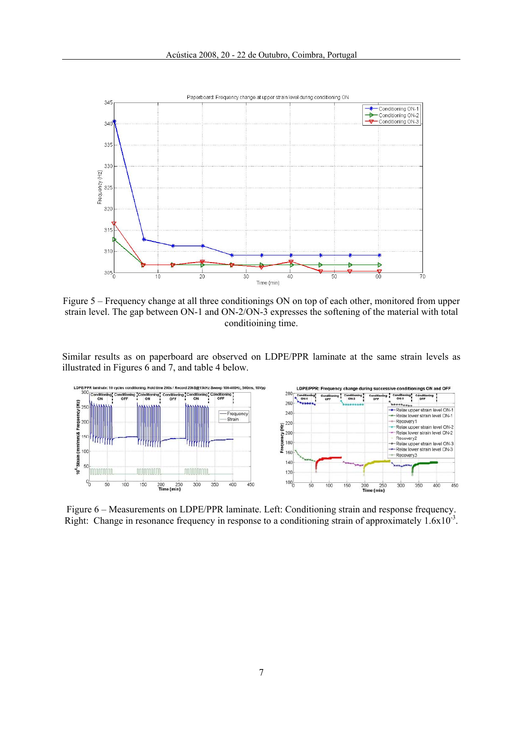

Figure 5 – Frequency change at all three conditionings ON on top of each other, monitored from upper strain level. The gap between ON-1 and ON-2/ON-3 expresses the softening of the material with total conditioining time.

Similar results as on paperboard are observed on LDPE/PPR laminate at the same strain levels as illustrated in Figures 6 and 7, and table 4 below.



Figure 6 – Measurements on LDPE/PPR laminate. Left: Conditioning strain and response frequency. Right: Change in resonance frequency in response to a conditioning strain of approximately 1.6x10<sup>-3</sup>.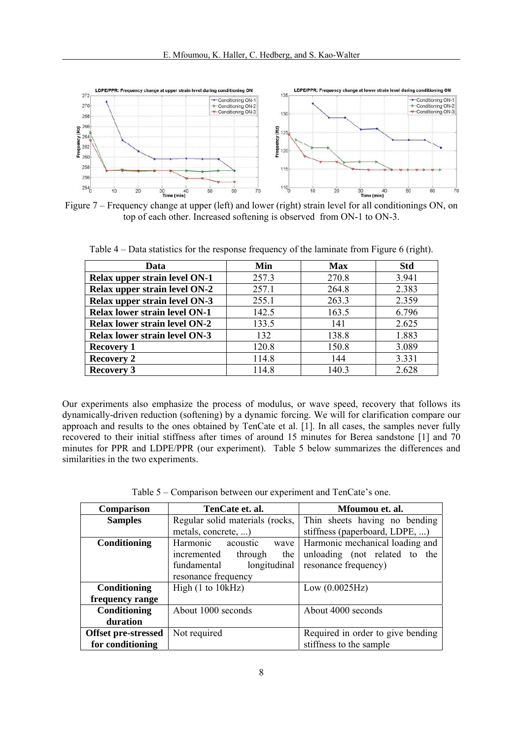

Figure 7 – Frequency change at upper (left) and lower (right) strain level for all conditionings ON, on top of each other. Increased softening is observed from ON-1 to ON-3.

| Data                                 | Min   | <b>Max</b> | <b>Std</b> |
|--------------------------------------|-------|------------|------------|
| Relax upper strain level ON-1        | 257.3 | 270.8      | 3.941      |
| Relax upper strain level ON-2        | 257.1 | 264.8      | 2.383      |
| Relax upper strain level ON-3        | 255.1 | 263.3      | 2.359      |
| <b>Relax lower strain level ON-1</b> | 142.5 | 163.5      | 6.796      |
| <b>Relax lower strain level ON-2</b> | 133.5 | 141        | 2.625      |
| <b>Relax lower strain level ON-3</b> | 132   | 138.8      | 1.883      |
| <b>Recovery 1</b>                    | 120.8 | 150.8      | 3.089      |
| <b>Recovery 2</b>                    | 114.8 | 144        | 3.331      |
| <b>Recovery 3</b>                    | 114.8 | 140.3      | 2.628      |

Table 4 – Data statistics for the response frequency of the laminate from Figure 6 (right).

Our experiments also emphasize the process of modulus, or wave speed, recovery that follows its dynamically-driven reduction (softening) by a dynamic forcing. We will for clarification compare our approach and results to the ones obtained by TenCate et al. [1]. In all cases, the samples never fully recovered to their initial stiffness after times of around 15 minutes for Berea sandstone [1] and 70 minutes for PPR and LDPE/PPR (our experiment). Table 5 below summarizes the differences and similarities in the two experiments.

|  | Table 5 – Comparison between our experiment and TenCate's one. |  |
|--|----------------------------------------------------------------|--|
|  |                                                                |  |

| Comparison                 | TenCate et. al.                 | Mfoumou et. al.                   |
|----------------------------|---------------------------------|-----------------------------------|
| <b>Samples</b>             | Regular solid materials (rocks, | Thin sheets having no bending     |
|                            | metals, concrete, )             | stiffness (paperboard, LDPE, )    |
| Conditioning               | Harmonic<br>acoustic<br>wave    | Harmonic mechanical loading and   |
|                            | incremented<br>through<br>the   | unloading (not related to the     |
|                            | longitudinal<br>fundamental     | resonance frequency)              |
|                            | resonance frequency             |                                   |
| Conditioning               | High (1 to 10kHz)               | Low (0.0025 Hz)                   |
| frequency range            |                                 |                                   |
| Conditioning               | About 1000 seconds              | About 4000 seconds                |
| duration                   |                                 |                                   |
| <b>Offset pre-stressed</b> | Not required                    | Required in order to give bending |
| for conditioning           |                                 | stiffness to the sample           |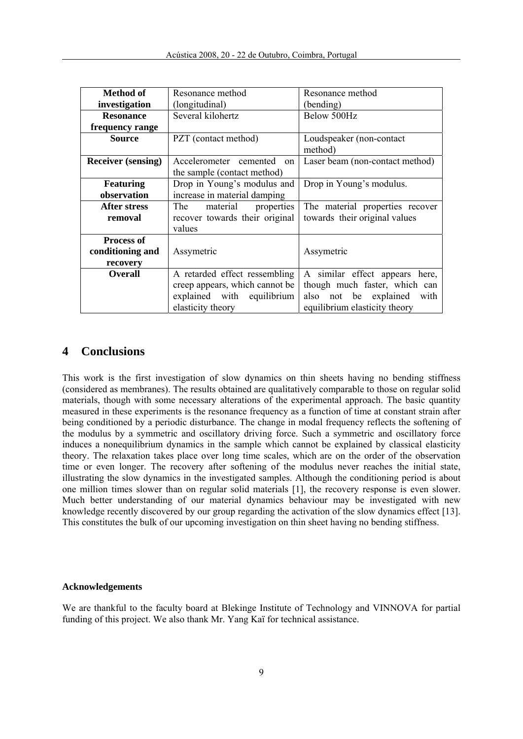| Method of                                         | Resonance method                                                                                                   | Resonance method                                                                                                                  |
|---------------------------------------------------|--------------------------------------------------------------------------------------------------------------------|-----------------------------------------------------------------------------------------------------------------------------------|
| investigation                                     | (longitudinal)                                                                                                     | (bending)                                                                                                                         |
| <b>Resonance</b>                                  | Several kilohertz                                                                                                  | Below 500Hz                                                                                                                       |
| frequency range                                   |                                                                                                                    |                                                                                                                                   |
| <b>Source</b>                                     | PZT (contact method)                                                                                               | Loudspeaker (non-contact)<br>method)                                                                                              |
| <b>Receiver (sensing)</b>                         | Accelerometer cemented<br>on<br>the sample (contact method)                                                        | Laser beam (non-contact method)                                                                                                   |
| <b>Featuring</b><br>observation                   | Drop in Young's modulus and<br>increase in material damping                                                        | Drop in Young's modulus.                                                                                                          |
| <b>After stress</b><br>removal                    | The<br>material<br>properties<br>recover towards their original<br>values                                          | The material properties recover<br>towards their original values                                                                  |
| <b>Process of</b><br>conditioning and<br>recovery | Assymetric                                                                                                         | Assymetric                                                                                                                        |
| <b>Overall</b>                                    | A retarded effect ressembling<br>creep appears, which cannot be<br>explained with equilibrium<br>elasticity theory | A similar effect appears here,<br>though much faster, which can<br>also not be explained<br>with<br>equilibrium elasticity theory |

## **4 Conclusions**

This work is the first investigation of slow dynamics on thin sheets having no bending stiffness (considered as membranes). The results obtained are qualitatively comparable to those on regular solid materials, though with some necessary alterations of the experimental approach. The basic quantity measured in these experiments is the resonance frequency as a function of time at constant strain after being conditioned by a periodic disturbance. The change in modal frequency reflects the softening of the modulus by a symmetric and oscillatory driving force. Such a symmetric and oscillatory force induces a nonequilibrium dynamics in the sample which cannot be explained by classical elasticity theory. The relaxation takes place over long time scales, which are on the order of the observation time or even longer. The recovery after softening of the modulus never reaches the initial state, illustrating the slow dynamics in the investigated samples. Although the conditioning period is about one million times slower than on regular solid materials [1], the recovery response is even slower. Much better understanding of our material dynamics behaviour may be investigated with new knowledge recently discovered by our group regarding the activation of the slow dynamics effect [13]. This constitutes the bulk of our upcoming investigation on thin sheet having no bending stiffness.

#### **Acknowledgements**

We are thankful to the faculty board at Blekinge Institute of Technology and VINNOVA for partial funding of this project. We also thank Mr. Yang Kaï for technical assistance.